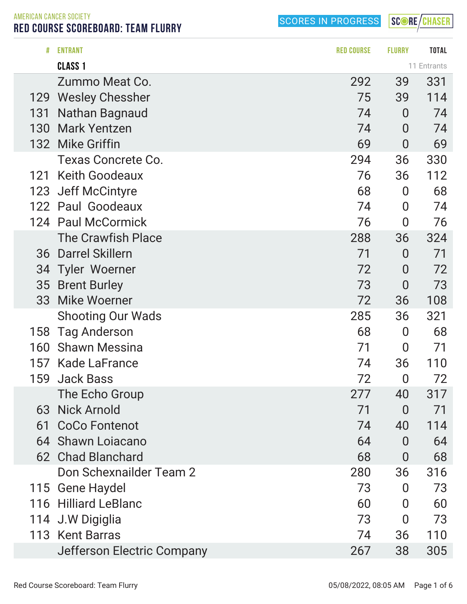SCORE/CHASER

AMERICAN CANCER SOCIETY RED COURSE SCOREBOARD: TEAM FLURRY

| #   | <b>ENTRANT</b>                         | <b>RED COURSE</b> | <b>FLURRY</b>        | <b>TOTAL</b> |
|-----|----------------------------------------|-------------------|----------------------|--------------|
|     | CLASS <sub>1</sub>                     |                   |                      | 11 Entrants  |
|     | Zummo Meat Co.                         | 292               | 39                   | 331          |
| 129 | <b>Wesley Chessher</b>                 | 75                | 39                   | 114          |
| 131 | Nathan Bagnaud                         | 74                | $\overline{0}$       | 74           |
| 130 | <b>Mark Yentzen</b>                    | 74                | $\overline{0}$       | 74           |
|     | 132 Mike Griffin                       | 69                | $\overline{0}$       | 69           |
|     | <b>Texas Concrete Co.</b>              | 294               | 36                   | 330          |
| 121 | <b>Keith Goodeaux</b>                  | 76                | 36                   | 112          |
| 123 | <b>Jeff McCintyre</b>                  | 68                | $\overline{0}$       | 68           |
|     | 122 Paul Goodeaux                      | 74                | $\overline{0}$       | 74           |
|     | 124 Paul McCormick                     | 76                | $\overline{0}$       | 76           |
|     | <b>The Crawfish Place</b>              | 288               | 36                   | 324          |
|     | 36 Darrel Skillern                     | 71                | $\overline{0}$       | 71           |
| 34  | <b>Tyler Woerner</b>                   | 72                | $\overline{0}$       | 72           |
| 35  | <b>Brent Burley</b><br>33 Mike Woerner | 73<br>72          | $\overline{0}$<br>36 | 73<br>108    |
|     | <b>Shooting Our Wads</b>               | 285               | 36                   | 321          |
| 158 | <b>Tag Anderson</b>                    | 68                | $\bf{0}$             | 68           |
| 160 | <b>Shawn Messina</b>                   | 71                | $\bf{0}$             | 71           |
| 157 | Kade LaFrance                          | 74                | 36                   | 110          |
| 159 | <b>Jack Bass</b>                       | 72                | $\overline{0}$       | 72           |
|     | The Echo Group                         | 277               | 40                   | 317          |
| 63  | <b>Nick Arnold</b>                     | 71                | $\overline{0}$       | 71           |
| 61  | <b>CoCo Fontenot</b>                   | 74                | 40                   | 114          |
| 64  | <b>Shawn Loiacano</b>                  | 64                | $\overline{0}$       | 64           |
|     | 62 Chad Blanchard                      | 68                | 0                    | 68           |
|     | Don Schexnailder Team 2                | 280               | 36                   | 316          |
|     | 115 Gene Haydel                        | 73                | 0                    | 73           |
| 116 | <b>Hilliard LeBlanc</b>                | 60                | 0                    | 60           |
|     | 114 J.W Digiglia                       | 73                | $\overline{0}$       | 73           |
|     | 113 Kent Barras                        | 74                | 36                   | 110          |
|     | Jefferson Electric Company             | 267               | 38                   | 305          |
|     |                                        |                   |                      |              |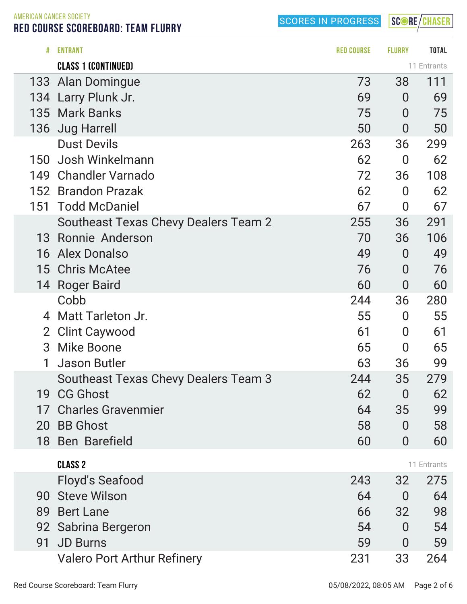SCORE/CHASER

AMERICAN CANCER SOCIETY RED COURSE SCOREBOARD: TEAM FLURRY

| #              | <b>ENTRANT</b>                              | <b>RED COURSE</b> | <b>FLURRY</b>  | <b>TOTAL</b> |
|----------------|---------------------------------------------|-------------------|----------------|--------------|
|                | <b>CLASS 1 (CONTINUED)</b>                  |                   |                | 11 Entrants  |
| 133            | Alan Domingue                               | 73                | 38             | 111          |
| 134            | Larry Plunk Jr.                             | 69                | $\overline{0}$ | 69           |
| 135            | <b>Mark Banks</b>                           | 75                | $\overline{0}$ | 75           |
| 136            | <b>Jug Harrell</b>                          | 50                | $\overline{0}$ | 50           |
|                | <b>Dust Devils</b>                          | 263               | 36             | 299          |
| 150            | Josh Winkelmann                             | 62                | $\overline{0}$ | 62           |
| 149            | <b>Chandler Varnado</b>                     | 72                | 36             | 108          |
| 152            | <b>Brandon Prazak</b>                       | 62                | $\overline{0}$ | 62           |
| 151            | <b>Todd McDaniel</b>                        | 67                | $\overline{0}$ | 67           |
|                | <b>Southeast Texas Chevy Dealers Team 2</b> | 255               | 36             | 291          |
| 13             | Ronnie Anderson                             | 70                | 36             | 106          |
| 16             | <b>Alex Donalso</b>                         | 49                | $\overline{0}$ | 49           |
| 15             | <b>Chris McAtee</b>                         | 76                | $\overline{0}$ | 76           |
|                | 14 Roger Baird                              | 60                | $\overline{0}$ | 60           |
|                | Cobb                                        | 244               | 36             | 280          |
| 4              | Matt Tarleton Jr.                           | 55                | 0              | 55           |
| $\overline{2}$ | <b>Clint Caywood</b>                        | 61                | $\overline{0}$ | 61           |
| 3              | <b>Mike Boone</b>                           | 65                | $\overline{0}$ | 65           |
| 1              | <b>Jason Butler</b>                         | 63                | 36             | 99           |
|                | Southeast Texas Chevy Dealers Team 3        | 244               | 35             | 279          |
| 19             | <b>CG Ghost</b>                             | 62                | 0              | 62           |
|                | 17 Charles Gravenmier                       | 64                | 35             | 99           |
| 20             | <b>BB Ghost</b>                             | 58                | $\overline{0}$ | 58           |
|                | 18 Ben Barefield                            | 60                | $\overline{0}$ | 60           |
|                | <b>CLASS 2</b>                              |                   |                | 11 Entrants  |
|                | Floyd's Seafood                             | 243               | 32             | 275          |
| 90             | <b>Steve Wilson</b>                         | 64                | $\overline{0}$ | 64           |
| 89             | <b>Bert Lane</b>                            | 66                | 32             | 98           |
|                | 92 Sabrina Bergeron                         | 54                | $\overline{0}$ | 54           |
| 91             | <b>JD Burns</b>                             | 59                | 0              | 59           |
|                | <b>Valero Port Arthur Refinery</b>          | 231               | 33             | 264          |
|                |                                             |                   |                |              |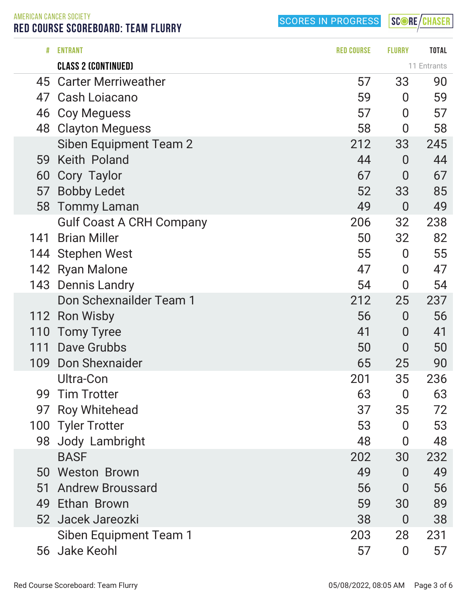AMERICAN CANCER SOCIETY RED COURSE SCOREBOARD: TEAM FLURRY

SCORES IN PROGRESS

SCORE/CHASER

| #   | <b>ENTRANT</b>                  | <b>RED COURSE</b> | <b>FLURRY</b>    | <b>TOTAL</b> |
|-----|---------------------------------|-------------------|------------------|--------------|
|     | <b>CLASS 2 (CONTINUED)</b>      |                   |                  | 11 Entrants  |
| 45  | <b>Carter Merriweather</b>      | 57                | 33               | 90           |
| 47  | Cash Loiacano                   | 59                | 0                | 59           |
| 46  | <b>Coy Meguess</b>              | 57                | $\overline{0}$   | 57           |
| 48  | <b>Clayton Meguess</b>          | 58                | 0                | 58           |
|     | Siben Equipment Team 2          | 212               | 33               | 245          |
| 59  | Keith Poland                    | 44                | $\overline{0}$   | 44           |
| 60  | Cory Taylor                     | 67                | $\bf{0}$         | 67           |
| 57  | <b>Bobby Ledet</b>              | 52                | 33               | 85           |
| 58  | <b>Tommy Laman</b>              | 49                | $\overline{0}$   | 49           |
|     | <b>Gulf Coast A CRH Company</b> | 206               | 32               | 238          |
| 141 | <b>Brian Miller</b>             | 50                | 32               | 82           |
|     | 144 Stephen West                | 55                | $\boldsymbol{0}$ | 55           |
|     | 142 Ryan Malone                 | 47                | $\bf{0}$         | 47           |
| 143 | <b>Dennis Landry</b>            | 54                | 0                | 54           |
|     | Don Schexnailder Team 1         | 212               | 25               | 237          |
| 112 | <b>Ron Wisby</b>                | 56                | $\overline{0}$   | 56           |
| 110 | <b>Tomy Tyree</b>               | 41                | $\bf{0}$         | 41           |
| 111 | Dave Grubbs                     | 50                | $\overline{0}$   | 50           |
| 109 | <b>Don Shexnaider</b>           | 65                | 25               | 90           |
|     | Ultra-Con                       | 201               | 35               | 236          |
| 99  | <b>Tim Trotter</b>              | 63                | 0                | 63           |
| 97  | <b>Roy Whitehead</b>            | 37                | 35               | 72           |
|     | 100 Tyler Trotter               | 53                | $\overline{0}$   | 53           |
|     | 98 Jody Lambright               | 48                | 0                | 48           |
|     | <b>BASF</b>                     | 202               | 30               | 232          |
|     | 50 Weston Brown                 | 49                | 0                | 49           |
| 51  | <b>Andrew Broussard</b>         | 56                | $\overline{0}$   | 56           |
|     | 49 Ethan Brown                  | 59                | 30               | 89           |
|     | 52 Jacek Jareozki               | 38                | $\bf{0}$         | 38           |
|     | Siben Equipment Team 1          | 203               | 28               | 231          |
|     | 56 Jake Keohl                   | 57                | $\bf{0}$         | 57           |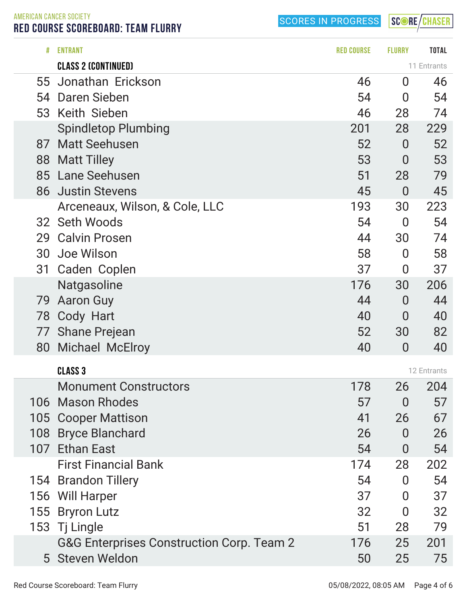SCORE/CHASER

AMERICAN CANCER SOCIETY RED COURSE SCOREBOARD: TEAM FLURRY

|     | <b>Spindletop Plumbing</b>                           | 201                  | 28             | 229         |
|-----|------------------------------------------------------|----------------------|----------------|-------------|
| 87  | <b>Matt Seehusen</b>                                 | 52                   | $\overline{0}$ | 52          |
|     | 88 Matt Tilley                                       | 53                   | $\overline{0}$ | 53          |
|     | 85 Lane Seehusen                                     | 51                   | 28             | 79          |
| 86  | <b>Justin Stevens</b>                                | 45                   | $\overline{0}$ | 45          |
|     | Arceneaux, Wilson, & Cole, LLC                       | 193                  | 30             | 223         |
| 32  | <b>Seth Woods</b>                                    | 54                   | $\overline{0}$ | 54          |
| 29  | <b>Calvin Prosen</b>                                 | 44                   | 30             | 74          |
| 30  | Joe Wilson                                           | 58                   | $\overline{0}$ | 58          |
| 31  | Caden Coplen                                         | 37                   | $\bf{0}$       | 37          |
|     | <b>Natgasoline</b>                                   | 176                  | 30             | 206         |
| 79  | <b>Aaron Guy</b>                                     | 44                   | $\overline{0}$ | 44          |
|     | 78 Cody Hart                                         | 40                   | $\overline{0}$ | 40          |
|     | 77 Shane Prejean                                     | 52                   | 30             | 82          |
| 80  | <b>Michael McElroy</b>                               | 40                   | $\overline{0}$ | 40          |
|     |                                                      |                      |                |             |
|     | <b>CLASS 3</b>                                       |                      |                | 12 Entrants |
|     | <b>Monument Constructors</b>                         | 178                  | 26             | 204         |
| 106 | <b>Mason Rhodes</b>                                  | 57                   | $\overline{0}$ | 57          |
|     | 105 Cooper Mattison                                  | 41                   | 26             | 67          |
| 108 | <b>Bryce Blanchard</b>                               | 26                   | $\overline{0}$ | 26          |
| 107 | <b>Ethan East</b>                                    | 54                   | $\bf{0}$       | 54          |
|     | <b>First Financial Bank</b>                          | 174                  | 28             | 202         |
| 154 | <b>Brandon Tillery</b>                               | 54                   | $\overline{0}$ | 54          |
|     | 156 Will Harper                                      | 37                   | $\overline{0}$ | 37          |
|     | 155 Bryron Lutz                                      | 32                   | 0              | 32          |
|     | 153 Tj Lingle                                        | 51                   | 28             | 79          |
|     | <b>G&amp;G Enterprises Construction Corp. Team 2</b> | 176                  | 25             | 201         |
|     | 5 Steven Weldon                                      | 50                   | 25             | 75          |
|     | Red Course Scoreboard: Team Flurry                   | 05/08/2022, 08:05 AM |                | Page 4 of 6 |

# ENTRANT RED COURSE FLURRY TOTAL

Jonathan Erickson 46 0 46

 Daren Sieben 54 0 54 Keith Sieben 46 28 74

CLASS 2 (CONTINUED) **CLASS 2** (CONTINUED)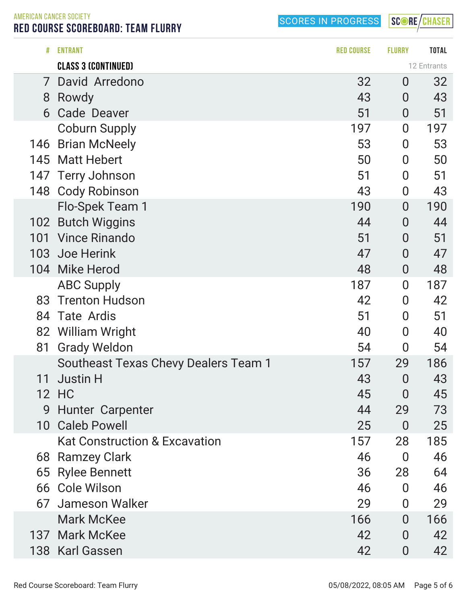SCORE/CHASER

AMERICAN CANCER SOCIETY RED COURSE SCOREBOARD: TEAM FLURRY

|     | <b>CLASS 3 (CONTINUED)</b>               |     |                  | 12 Entrants |
|-----|------------------------------------------|-----|------------------|-------------|
| 7   | David Arredono                           | 32  | $\overline{0}$   | 32          |
| 8   | Rowdy                                    | 43  | $\overline{0}$   | 43          |
| 6   | <b>Cade Deaver</b>                       | 51  | $\overline{0}$   | 51          |
|     | <b>Coburn Supply</b>                     | 197 | $\overline{0}$   | 197         |
| 146 | <b>Brian McNeely</b>                     | 53  | $\overline{0}$   | 53          |
| 145 | <b>Matt Hebert</b>                       | 50  | $\boldsymbol{0}$ | 50          |
| 147 | <b>Terry Johnson</b>                     | 51  | $\boldsymbol{0}$ | 51          |
| 148 | <b>Cody Robinson</b>                     | 43  | $\boldsymbol{0}$ | 43          |
|     | Flo-Spek Team 1                          | 190 | $\overline{0}$   | 190         |
| 102 | <b>Butch Wiggins</b>                     | 44  | $\overline{0}$   | 44          |
| 101 | <b>Vince Rinando</b>                     | 51  | $\overline{0}$   | 51          |
| 103 | Joe Herink                               | 47  | $\overline{0}$   | 47          |
| 104 | <b>Mike Herod</b>                        | 48  | $\overline{0}$   | 48          |
|     | <b>ABC Supply</b>                        | 187 | $\overline{0}$   | 187         |
| 83  | <b>Trenton Hudson</b>                    | 42  | $\overline{0}$   | 42          |
| 84  | <b>Tate Ardis</b>                        | 51  | $\boldsymbol{0}$ | 51          |
| 82  | William Wright                           | 40  | $\overline{0}$   | 40          |
| 81  | <b>Grady Weldon</b>                      | 54  | $\overline{0}$   | 54          |
|     | Southeast Texas Chevy Dealers Team 1     | 157 | 29               | 186         |
| 11  | <b>Justin H</b>                          | 43  | $\overline{0}$   | 43          |
| 12  | HC                                       | 45  | $\overline{0}$   | 45          |
| 9   | <b>Hunter Carpenter</b>                  | 44  | 29               | 73          |
| 10  | <b>Caleb Powell</b>                      | 25  | $\overline{0}$   | 25          |
|     | <b>Kat Construction &amp; Excavation</b> | 157 | 28               | 185         |
| 68  | <b>Ramzey Clark</b>                      | 46  | $\overline{0}$   | 46          |
| 65  | <b>Rylee Bennett</b>                     | 36  | 28               | 64          |
| 66  | <b>Cole Wilson</b>                       | 46  | $\overline{0}$   | 46          |
| 67  | Jameson Walker                           | 29  | $\overline{0}$   | 29          |
|     | <b>Mark McKee</b>                        | 166 | $\overline{0}$   | 166         |
| 137 | <b>Mark McKee</b>                        | 42  | $\overline{0}$   | 42          |
|     | 138 Karl Gassen                          | 42  | $\overline{0}$   | 42          |

# ENTRANT RED COURSE FLURRY TOTAL